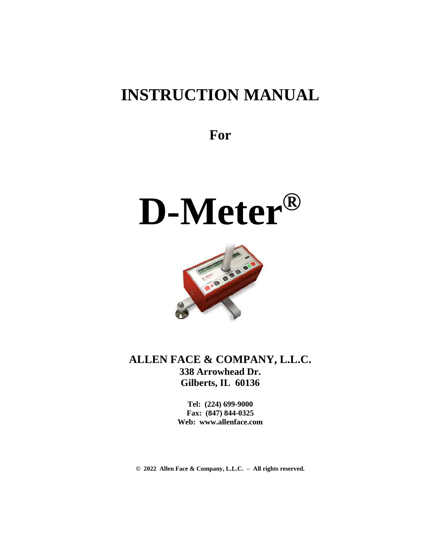# **INSTRUCTION MANUAL**

**For**

# **D-Meter®**



**ALLEN FACE & COMPANY, L.L.C. 338 Arrowhead Dr. Gilberts, IL 60136**

> **Tel: (224) 699-9000 Fax: (847) 844-0325 Web: www.allenface.com**

**© 2022 Allen Face & Company, L.L.C. – All rights reserved.**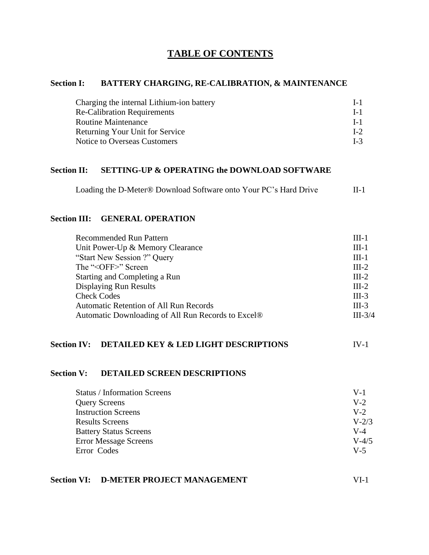#### **TABLE OF CONTENTS**

#### **Section I: BATTERY CHARGING, RE-CALIBRATION, & MAINTENANCE**

| Charging the internal Lithium-ion battery | $L_{\rm 1}$ |
|-------------------------------------------|-------------|
| <b>Re-Calibration Requirements</b>        | $L_{\rm 1}$ |
| <b>Routine Maintenance</b>                | $L_{\rm 1}$ |
| <b>Returning Your Unit for Service</b>    | $I-2$       |
| Notice to Overseas Customers              | $L-3$       |

#### **Section II: SETTING-UP & OPERATING the DOWNLOAD SOFTWARE**

Loading the D-Meter® Download Software onto Your PC's Hard Drive II-1

#### **Section III: GENERAL OPERATION**

| <b>Recommended Run Pattern</b>                     | $III-1$   |
|----------------------------------------------------|-----------|
| Unit Power-Up & Memory Clearance                   | $III-1$   |
| "Start New Session ?" Query                        | $III-1$   |
| The " <off>" Screen</off>                          | $III-2$   |
| Starting and Completing a Run                      | $III-2$   |
| <b>Displaying Run Results</b>                      | $III-2$   |
| <b>Check Codes</b>                                 | $III-3$   |
| <b>Automatic Retention of All Run Records</b>      | $III-3$   |
| Automatic Downloading of All Run Records to Excel® | $III-3/4$ |

#### **Section IV: DETAILED KEY & LED LIGHT DESCRIPTIONS** IV-1

#### **Section V: DETAILED SCREEN DESCRIPTIONS**

| $V-1$     |
|-----------|
| $V-2$     |
| $V-2$     |
| $V - 2/3$ |
| V-4       |
| $V - 4/5$ |
| $V-5$     |
|           |

#### **Section VI: D-METER PROJECT MANAGEMENT** VI-1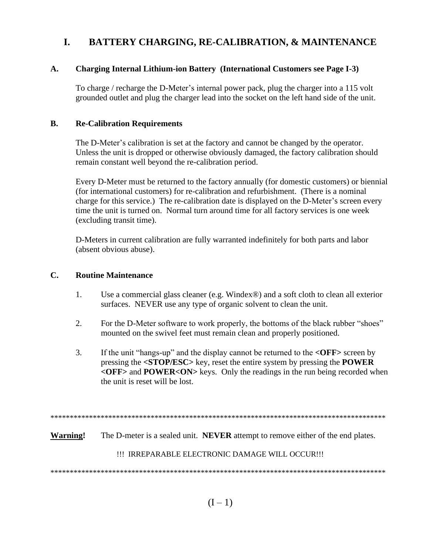# **I. BATTERY CHARGING, RE-CALIBRATION, & MAINTENANCE**

#### **A. Charging Internal Lithium-ion Battery (International Customers see Page I-3)**

To charge / recharge the D-Meter's internal power pack, plug the charger into a 115 volt grounded outlet and plug the charger lead into the socket on the left hand side of the unit.

#### **B. Re-Calibration Requirements**

The D-Meter's calibration is set at the factory and cannot be changed by the operator. Unless the unit is dropped or otherwise obviously damaged, the factory calibration should remain constant well beyond the re-calibration period.

Every D-Meter must be returned to the factory annually (for domestic customers) or biennial (for international customers) for re-calibration and refurbishment. (There is a nominal charge for this service.) The re-calibration date is displayed on the D-Meter's screen every time the unit is turned on. Normal turn around time for all factory services is one week (excluding transit time).

D-Meters in current calibration are fully warranted indefinitely for both parts and labor (absent obvious abuse).

#### **C. Routine Maintenance**

- 1. Use a commercial glass cleaner (e.g. Windex®) and a soft cloth to clean all exterior surfaces. NEVER use any type of organic solvent to clean the unit.
- 2. For the D-Meter software to work properly, the bottoms of the black rubber "shoes" mounted on the swivel feet must remain clean and properly positioned.
- 3. If the unit "hangs-up" and the display cannot be returned to the **<OFF>** screen by pressing the **<STOP/ESC>** key, reset the entire system by pressing the **POWER <OFF>** and **POWER<ON>** keys. Only the readings in the run being recorded when the unit is reset will be lost.

\*\*\*\*\*\*\*\*\*\*\*\*\*\*\*\*\*\*\*\*\*\*\*\*\*\*\*\*\*\*\*\*\*\*\*\*\*\*\*\*\*\*\*\*\*\*\*\*\*\*\*\*\*\*\*\*\*\*\*\*\*\*\*\*\*\*\*\*\*\*\*\*\*\*\*\*\*\*\*\*\*\*\*\*\*\*\*

**Warning!** The D-meter is a sealed unit. **NEVER** attempt to remove either of the end plates.

!!! IRREPARABLE ELECTRONIC DAMAGE WILL OCCUR!!!

\*\*\*\*\*\*\*\*\*\*\*\*\*\*\*\*\*\*\*\*\*\*\*\*\*\*\*\*\*\*\*\*\*\*\*\*\*\*\*\*\*\*\*\*\*\*\*\*\*\*\*\*\*\*\*\*\*\*\*\*\*\*\*\*\*\*\*\*\*\*\*\*\*\*\*\*\*\*\*\*\*\*\*\*\*\*\*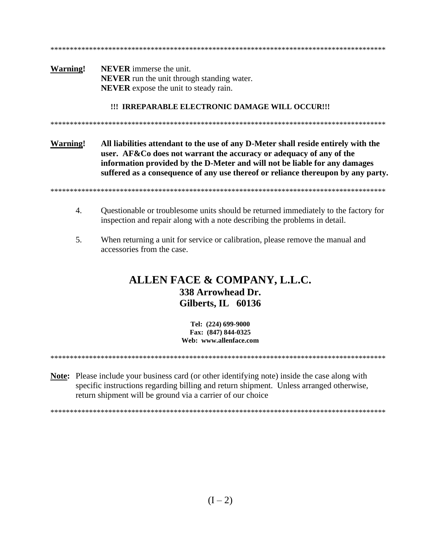**Warning! NEVER** immerse the unit. **NEVER** run the unit through standing water. **NEVER** expose the unit to steady rain.

\*\*\*\*\*\*\*\*\*\*\*\*\*\*\*\*\*\*\*\*\*\*\*\*\*\*\*\*\*\*\*\*\*\*\*\*\*\*\*\*\*\*\*\*\*\*\*\*\*\*\*\*\*\*\*\*\*\*\*\*\*\*\*\*\*\*\*\*\*\*\*\*\*\*\*\*\*\*\*\*\*\*\*\*\*\*\*

#### **!!! IRREPARABLE ELECTRONIC DAMAGE WILL OCCUR!!!**

\*\*\*\*\*\*\*\*\*\*\*\*\*\*\*\*\*\*\*\*\*\*\*\*\*\*\*\*\*\*\*\*\*\*\*\*\*\*\*\*\*\*\*\*\*\*\*\*\*\*\*\*\*\*\*\*\*\*\*\*\*\*\*\*\*\*\*\*\*\*\*\*\*\*\*\*\*\*\*\*\*\*\*\*\*\*\*

**Warning! All liabilities attendant to the use of any D-Meter shall reside entirely with the user. AF&Co does not warrant the accuracy or adequacy of any of the information provided by the D-Meter and will not be liable for any damages suffered as a consequence of any use thereof or reliance thereupon by any party.**

\*\*\*\*\*\*\*\*\*\*\*\*\*\*\*\*\*\*\*\*\*\*\*\*\*\*\*\*\*\*\*\*\*\*\*\*\*\*\*\*\*\*\*\*\*\*\*\*\*\*\*\*\*\*\*\*\*\*\*\*\*\*\*\*\*\*\*\*\*\*\*\*\*\*\*\*\*\*\*\*\*\*\*\*\*\*\*

- 4. Questionable or troublesome units should be returned immediately to the factory for inspection and repair along with a note describing the problems in detail.
- 5. When returning a unit for service or calibration, please remove the manual and accessories from the case.

# **ALLEN FACE & COMPANY, L.L.C. 338 Arrowhead Dr. Gilberts, IL 60136**

**Tel: (224) 699-9000 Fax: (847) 844-0325 Web: www.allenface.com**

\*\*\*\*\*\*\*\*\*\*\*\*\*\*\*\*\*\*\*\*\*\*\*\*\*\*\*\*\*\*\*\*\*\*\*\*\*\*\*\*\*\*\*\*\*\*\*\*\*\*\*\*\*\*\*\*\*\*\*\*\*\*\*\*\*\*\*\*\*\*\*\*\*\*\*\*\*\*\*\*\*\*\*\*\*\*\*

**Note:** Please include your business card (or other identifying note) inside the case along with specific instructions regarding billing and return shipment. Unless arranged otherwise, return shipment will be ground via a carrier of our choice

\*\*\*\*\*\*\*\*\*\*\*\*\*\*\*\*\*\*\*\*\*\*\*\*\*\*\*\*\*\*\*\*\*\*\*\*\*\*\*\*\*\*\*\*\*\*\*\*\*\*\*\*\*\*\*\*\*\*\*\*\*\*\*\*\*\*\*\*\*\*\*\*\*\*\*\*\*\*\*\*\*\*\*\*\*\*\*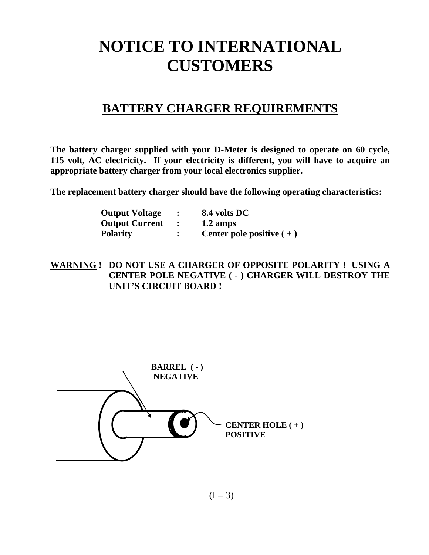# **NOTICE TO INTERNATIONAL CUSTOMERS**

# **BATTERY CHARGER REQUIREMENTS**

**The battery charger supplied with your D-Meter is designed to operate on 60 cycle, 115 volt, AC electricity. If your electricity is different, you will have to acquire an appropriate battery charger from your local electronics supplier.**

**The replacement battery charger should have the following operating characteristics:**

| <b>Output Voltage</b> | 8.4 volts DC               |
|-----------------------|----------------------------|
| <b>Output Current</b> | $1.2 \text{ amps}$         |
| <b>Polarity</b>       | Center pole positive $(+)$ |

**WARNING ! DO NOT USE A CHARGER OF OPPOSITE POLARITY ! USING A CENTER POLE NEGATIVE ( - ) CHARGER WILL DESTROY THE UNIT'S CIRCUIT BOARD !**



 $(I - 3)$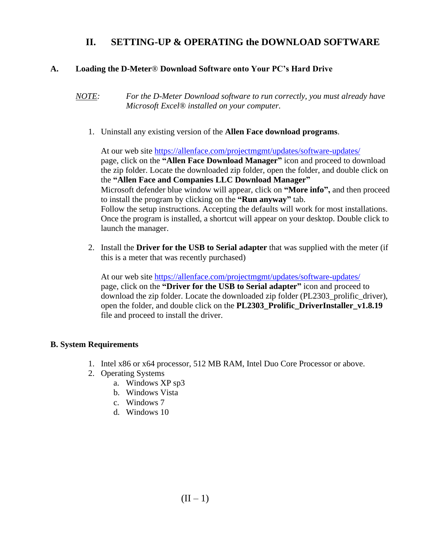### **II. SETTING-UP & OPERATING the DOWNLOAD SOFTWARE**

#### **A. Loading the D-Meter**® **Download Software onto Your PC's Hard Drive**

*NOTE: For the D-Meter Download software to run correctly, you must already have Microsoft Excel® installed on your computer.*

1. Uninstall any existing version of the **Allen Face download programs**.

At our web site <https://allenface.com/projectmgmt/updates/software-updates/> page, click on the **"Allen Face Download Manager"** icon and proceed to download the zip folder. Locate the downloaded zip folder, open the folder, and double click on the **"Allen Face and Companies LLC Download Manager"** Microsoft defender blue window will appear, click on **"More info",** and then proceed to install the program by clicking on the **"Run anyway"** tab. Follow the setup instructions. Accepting the defaults will work for most installations. Once the program is installed, a shortcut will appear on your desktop. Double click to launch the manager.

2. Install the **Driver for the USB to Serial adapter** that was supplied with the meter (if this is a meter that was recently purchased)

At our web site <https://allenface.com/projectmgmt/updates/software-updates/> page, click on the **"Driver for the USB to Serial adapter"** icon and proceed to download the zip folder. Locate the downloaded zip folder (PL2303\_prolific\_driver), open the folder, and double click on the **PL2303\_Prolific\_DriverInstaller\_v1.8.19** file and proceed to install the driver.

#### **B. System Requirements**

- 1. Intel x86 or x64 processor, 512 MB RAM, Intel Duo Core Processor or above.
- 2. Operating Systems
	- a. Windows XP sp3
	- b. Windows Vista
	- c. Windows 7
	- d. Windows 10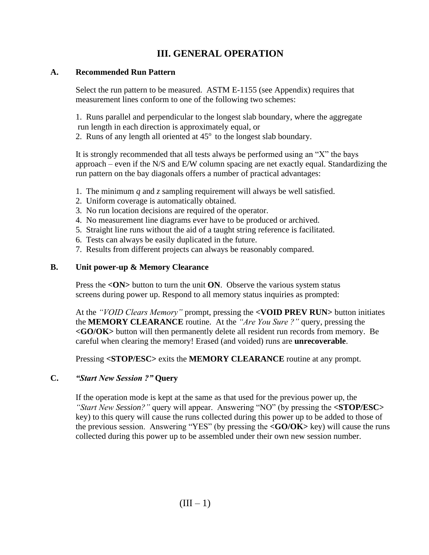# **III. GENERAL OPERATION**

#### **A. Recommended Run Pattern**

Select the run pattern to be measured. ASTM E-1155 (see Appendix) requires that measurement lines conform to one of the following two schemes:

1. Runs parallel and perpendicular to the longest slab boundary, where the aggregate run length in each direction is approximately equal, or

2. Runs of any length all oriented at  $45^{\circ}$  to the longest slab boundary.

It is strongly recommended that all tests always be performed using an "X" the bays approach – even if the N/S and E/W column spacing are net exactly equal. Standardizing the run pattern on the bay diagonals offers a number of practical advantages:

- 1. The minimum *q* and *z* sampling requirement will always be well satisfied.
- 2. Uniform coverage is automatically obtained.
- 3. No run location decisions are required of the operator.
- 4. No measurement line diagrams ever have to be produced or archived.
- 5. Straight line runs without the aid of a taught string reference is facilitated.
- 6. Tests can always be easily duplicated in the future.
- 7. Results from different projects can always be reasonably compared.

#### **B. Unit power-up & Memory Clearance**

Press the <**ON**> button to turn the unit **ON**. Observe the various system status screens during power up. Respond to all memory status inquiries as prompted:

At the *"VOID Clears Memory"* prompt, pressing the **<VOID PREV RUN>** button initiates the **MEMORY CLEARANCE** routine. At the *"Are You Sure ?"* query, pressing the **<GO/OK>** button will then permanently delete all resident run records from memory. Be careful when clearing the memory! Erased (and voided) runs are **unrecoverable**.

Pressing **<STOP/ESC>** exits the **MEMORY CLEARANCE** routine at any prompt.

#### **C.** *"Start New Session ?"* **Query**

If the operation mode is kept at the same as that used for the previous power up, the *"Start New Session?"* query will appear. Answering "NO" (by pressing the **<STOP/ESC>** key) to this query will cause the runs collected during this power up to be added to those of the previous session. Answering "YES" (by pressing the **<GO/OK>** key) will cause the runs collected during this power up to be assembled under their own new session number.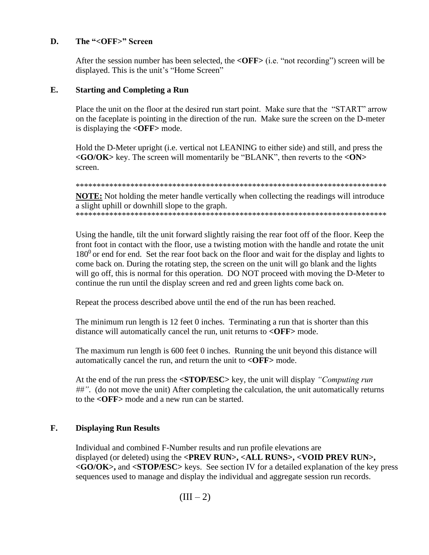#### **D. The "<OFF>" Screen**

After the session number has been selected, the **<OFF>** (i.e. "not recording") screen will be displayed. This is the unit's "Home Screen"

#### **E. Starting and Completing a Run**

Place the unit on the floor at the desired run start point. Make sure that the "START" arrow on the faceplate is pointing in the direction of the run. Make sure the screen on the D-meter is displaying the **<OFF>** mode.

Hold the D-Meter upright (i.e. vertical not LEANING to either side) and still, and press the **<GO/OK>** key. The screen will momentarily be "BLANK", then reverts to the **<ON>** screen.

\*\*\*\*\*\*\*\*\*\*\*\*\*\*\*\*\*\*\*\*\*\*\*\*\*\*\*\*\*\*\*\*\*\*\*\*\*\*\*\*\*\*\*\*\*\*\*\*\*\*\*\*\*\*\*\*\*\*\*\*\*\*\*\*\*\*\*\*\*\*\*\*\*\*

**NOTE:** Not holding the meter handle vertically when collecting the readings will introduce a slight uphill or downhill slope to the graph. \*\*\*\*\*\*\*\*\*\*\*\*\*\*\*\*\*\*\*\*\*\*\*\*\*\*\*\*\*\*\*\*\*\*\*\*\*\*\*\*\*\*\*\*\*\*\*\*\*\*\*\*\*\*\*\*\*\*\*\*\*\*\*\*\*\*\*\*\*\*\*\*\*\*

Using the handle, tilt the unit forward slightly raising the rear foot off of the floor. Keep the front foot in contact with the floor, use a twisting motion with the handle and rotate the unit  $180<sup>0</sup>$  or end for end. Set the rear foot back on the floor and wait for the display and lights to come back on. During the rotating step, the screen on the unit will go blank and the lights will go off, this is normal for this operation. DO NOT proceed with moving the D-Meter to continue the run until the display screen and red and green lights come back on.

Repeat the process described above until the end of the run has been reached.

The minimum run length is 12 feet 0 inches. Terminating a run that is shorter than this distance will automatically cancel the run, unit returns to **<OFF>** mode.

The maximum run length is 600 feet 0 inches. Running the unit beyond this distance will automatically cancel the run, and return the unit to **<OFF>** mode.

At the end of the run press the **<STOP/ESC>** key, the unit will display *"Computing run ##"*. (do not move the unit) After completing the calculation, the unit automatically returns to the **<OFF>** mode and a new run can be started.

#### **F. Displaying Run Results**

Individual and combined F-Number results and run profile elevations are displayed (or deleted) using the **<PREV RUN>, <ALL RUNS>, <VOID PREV RUN>, <GO/OK>,** and **<STOP/ESC>** keys. See section IV for a detailed explanation of the key press sequences used to manage and display the individual and aggregate session run records.

 $(III - 2)$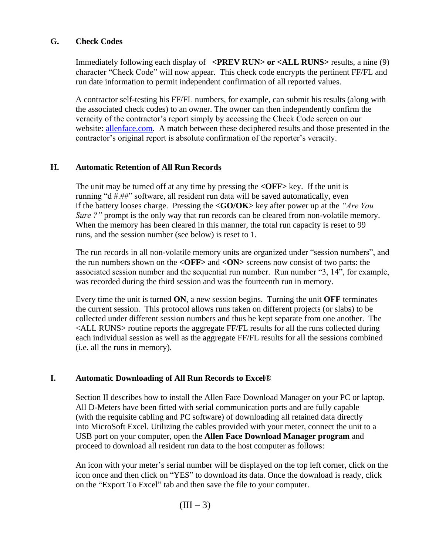#### **G. Check Codes**

Immediately following each display of **<PREV RUN> or <ALL RUNS**> results, a nine (9) character "Check Code" will now appear. This check code encrypts the pertinent FF/FL and run date information to permit independent confirmation of all reported values.

A contractor self-testing his FF/FL numbers, for example, can submit his results (along with the associated check codes) to an owner. The owner can then independently confirm the veracity of the contractor's report simply by accessing the Check Code screen on our website: [allenface.com.](http://www.allenface.com/) A match between these deciphered results and those presented in the contractor's original report is absolute confirmation of the reporter's veracity.

#### **H. Automatic Retention of All Run Records**

The unit may be turned off at any time by pressing the **<OFF>** key. If the unit is running "d #.##" software, all resident run data will be saved automatically, even if the battery looses charge. Pressing the **<GO/OK>** key after power up at the *"Are You Sure ?"* prompt is the only way that run records can be cleared from non-volatile memory. When the memory has been cleared in this manner, the total run capacity is reset to 99 runs, and the session number (see below) is reset to 1.

The run records in all non-volatile memory units are organized under "session numbers", and the run numbers shown on the **<OFF>** and **<ON>** screens now consist of two parts: the associated session number and the sequential run number. Run number "3, 14", for example, was recorded during the third session and was the fourteenth run in memory.

Every time the unit is turned **ON**, a new session begins. Turning the unit **OFF** terminates the current session. This protocol allows runs taken on different projects (or slabs) to be collected under different session numbers and thus be kept separate from one another. The <ALL RUNS> routine reports the aggregate FF/FL results for all the runs collected during each individual session as well as the aggregate FF/FL results for all the sessions combined (i.e. all the runs in memory).

#### **I. Automatic Downloading of All Run Records to Excel**®

Section II describes how to install the Allen Face Download Manager on your PC or laptop. All D-Meters have been fitted with serial communication ports and are fully capable (with the requisite cabling and PC software) of downloading all retained data directly into MicroSoft Excel. Utilizing the cables provided with your meter, connect the unit to a USB port on your computer, open the **Allen Face Download Manager program** and proceed to download all resident run data to the host computer as follows:

An icon with your meter's serial number will be displayed on the top left corner, click on the icon once and then click on "YES" to download its data. Once the download is ready, click on the "Export To Excel" tab and then save the file to your computer.

 $(III-3)$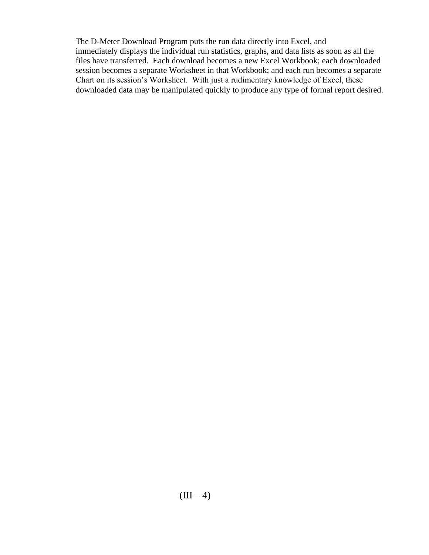The D-Meter Download Program puts the run data directly into Excel, and immediately displays the individual run statistics, graphs, and data lists as soon as all the files have transferred. Each download becomes a new Excel Workbook; each downloaded session becomes a separate Worksheet in that Workbook; and each run becomes a separate Chart on its session's Worksheet. With just a rudimentary knowledge of Excel, these downloaded data may be manipulated quickly to produce any type of formal report desired.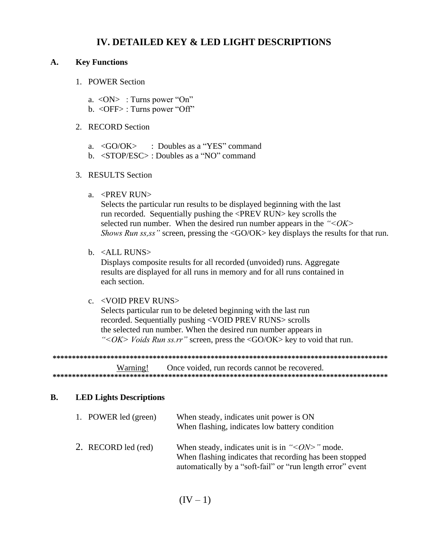#### **IV. DETAILED KEY & LED LIGHT DESCRIPTIONS**

#### **A. Key Functions**

- 1. POWER Section
	- a.  $\langle ON \rangle$ : Turns power "On"
	- b. <OFF> : Turns power "Off"
- 2. RECORD Section
	- a. <GO/OK> : Doubles as a "YES" command
	- b. <STOP/ESC> : Doubles as a "NO" command

#### 3. RESULTS Section

a. <PREV RUN>

Selects the particular run results to be displayed beginning with the last run recorded. Sequentially pushing the <PREV RUN> key scrolls the selected run number. When the desired run number appears in the *"<OK> Shows Run ss,ss*" screen, pressing the <GO/OK> key displays the results for that run.

b. <ALL RUNS>

Displays composite results for all recorded (unvoided) runs. Aggregate results are displayed for all runs in memory and for all runs contained in each section.

#### c. <VOID PREV RUNS>

Selects particular run to be deleted beginning with the last run recorded. Sequentially pushing <VOID PREV RUNS> scrolls the selected run number. When the desired run number appears in *"<OK> Voids Run ss.rr"* screen, press the <GO/OK> key to void that run.

**\*\*\*\*\*\*\*\*\*\*\*\*\*\*\*\*\*\*\*\*\*\*\*\*\*\*\*\*\*\*\*\*\*\*\*\*\*\*\*\*\*\*\*\*\*\*\*\*\*\*\*\*\*\*\*\*\*\*\*\*\*\*\*\*\*\*\*\*\*\*\*\*\*\*\*\*\*\*\*\*\*\*\*\*\*\*\***

Warning! Once voided, run records cannot be recovered. **\*\*\*\*\*\*\*\*\*\*\*\*\*\*\*\*\*\*\*\*\*\*\*\*\*\*\*\*\*\*\*\*\*\*\*\*\*\*\*\*\*\*\*\*\*\*\*\*\*\*\*\*\*\*\*\*\*\*\*\*\*\*\*\*\*\*\*\*\*\*\*\*\*\*\*\*\*\*\*\*\*\*\*\*\*\*\***

#### **B. LED Lights Descriptions**

| 1. POWER led (green) | When steady, indicates unit power is ON<br>When flashing, indicates low battery condition                                                                                                 |
|----------------------|-------------------------------------------------------------------------------------------------------------------------------------------------------------------------------------------|
| 2. RECORD led (red)  | When steady, indicates unit is in " $\langle ON \rangle$ " mode.<br>When flashing indicates that recording has been stopped<br>automatically by a "soft-fail" or "run length error" event |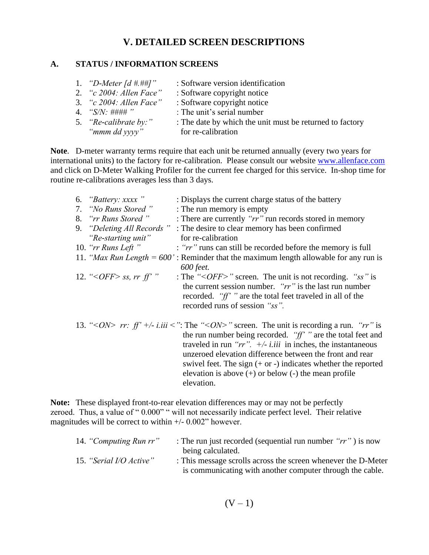## **V. DETAILED SCREEN DESCRIPTIONS**

#### **A. STATUS / INFORMATION SCREENS**

1. *"D-Meter [d #.##]"* : Software version identification 2. *"c 2004: Allen Face"* : Software copyright notice 3. *"c 2004: Allen Face"* : Software copyright notice 4. *"S/N:* #### "<br>5. *"Re-calibrate by:"* : The date by which the un : The date by which the unit must be returned to factory *"mmm dd yyyy"* for re-calibration

**Note**. D-meter warranty terms require that each unit be returned annually (every two years for international units) to the factory for re-calibration. Please consult our website [www.allenface.com](http://www.allenface.com/) and click on D-Meter Walking Profiler for the current fee charged for this service. In-shop time for routine re-calibrations averages less than 3 days.

| 6. "Battery: xxxx"               | : Displays the current charge status of the battery                                                                                                                                                                                                                                                                                                                                                                                                                |
|----------------------------------|--------------------------------------------------------------------------------------------------------------------------------------------------------------------------------------------------------------------------------------------------------------------------------------------------------------------------------------------------------------------------------------------------------------------------------------------------------------------|
| 7. "No Runs Stored"              | : The run memory is empty                                                                                                                                                                                                                                                                                                                                                                                                                                          |
| 8. "rr Runs Stored"              | : There are currently "rr" run records stored in memory                                                                                                                                                                                                                                                                                                                                                                                                            |
| 9. "Deleting All Records"        | : The desire to clear memory has been confirmed                                                                                                                                                                                                                                                                                                                                                                                                                    |
| "Re-starting unit"               | for re-calibration                                                                                                                                                                                                                                                                                                                                                                                                                                                 |
| 10. " $rr$ Runs Left"            | : "rr" runs can still be recorded before the memory is full                                                                                                                                                                                                                                                                                                                                                                                                        |
|                                  | 11. "Max Run Length = $600$ ": Reminder that the maximum length allowable for any run is<br>600 feet.                                                                                                                                                                                                                                                                                                                                                              |
| 12. "< <i>OFF</i> > ss, rr ff' " | : The "< $OFF$ " screen. The unit is not recording. "ss" is<br>the current session number. " $rr$ " is the last run number<br>recorded. " $ff$ " are the total feet traveled in all of the<br>recorded runs of session "ss".                                                                                                                                                                                                                                       |
|                                  | 13. "<0 <i>N&gt; rr:</i> ff' +/- i.iii <": The "<0 <i>N&gt;</i> " screen. The unit is recording a run. "rr" is<br>the run number being recorded. " $ff$ " are the total feet and<br>traveled in run "rr". $+/-$ <i>i.iii</i> in inches, the instantaneous<br>unzeroed elevation difference between the front and rear<br>swivel feet. The sign $(+ or -)$ indicates whether the reported<br>elevation is above $(+)$ or below $(-)$ the mean profile<br>elevation. |

**Note:** These displayed front-to-rear elevation differences may or may not be perfectly zeroed. Thus, a value of "0.000" " will not necessarily indicate perfect level. Their relative magnitudes will be correct to within  $+/- 0.002$ " however.

| 14. "Computing Run rr"  | : The run just recorded (sequential run number " $rr$ ") is now |
|-------------------------|-----------------------------------------------------------------|
|                         | being calculated.                                               |
| 15. "Serial I/O Active" | : This message scrolls across the screen whenever the D-Meter   |
|                         | is communicating with another computer through the cable.       |

$$
(V - 1)
$$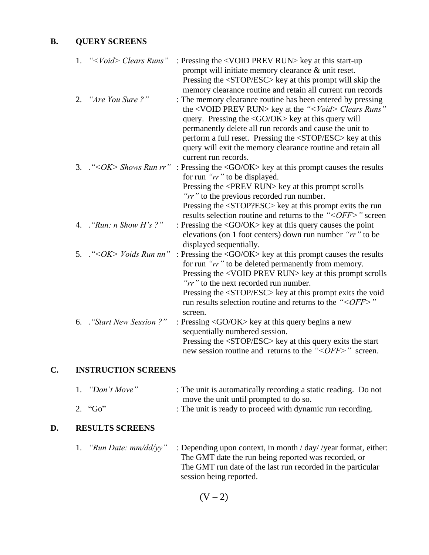#### **B. QUERY SCREENS**

| 1. | " <void> Clears Runs"</void>       | : Pressing the <void prev="" run=""> key at this start-up</void>                                 |
|----|------------------------------------|--------------------------------------------------------------------------------------------------|
|    |                                    | prompt will initiate memory clearance & unit reset.                                              |
|    |                                    | Pressing the <stop esc=""> key at this prompt will skip the</stop>                               |
|    |                                    | memory clearance routine and retain all current run records                                      |
|    | 2. "Are You Sure?"                 | : The memory clearance routine has been entered by pressing                                      |
|    |                                    | the <void prev="" run=""> key at the "<void> Clears Runs"</void></void>                          |
|    |                                    | query. Pressing the $\langle$ GO/OK $>$ key at this query will                                   |
|    |                                    | permanently delete all run records and cause the unit to                                         |
|    |                                    | perform a full reset. Pressing the <stop esc=""> key at this</stop>                              |
|    |                                    | query will exit the memory clearance routine and retain all                                      |
|    |                                    | current run records.                                                                             |
|    |                                    | 3. . "< $OK$ > Shows Run rr": Pressing the <go ok=""> key at this prompt causes the results</go> |
|    |                                    | for run "rr" to be displayed.                                                                    |
|    |                                    | Pressing the <prev run=""> key at this prompt scrolls</prev>                                     |
|    |                                    | "rr" to the previous recorded run number.                                                        |
|    |                                    | Pressing the <stop?esc> key at this prompt exits the run</stop?esc>                              |
|    |                                    | results selection routine and returns to the " <off>" screen</off>                               |
|    | 4. $"Run: n Show H's ?"$           | : Pressing the <go ok=""> key at this query causes the point</go>                                |
|    |                                    | elevations (on 1 foot centers) down run number "rr" to be                                        |
|    |                                    | displayed sequentially.                                                                          |
|    | 5. $\cdot$ "< $OK$ > Voids Run nn" | : Pressing the $\langle$ GO/OK $>$ key at this prompt causes the results                         |
|    |                                    | for run "rr" to be deleted permanently from memory.                                              |
|    |                                    | Pressing the <void prev="" run=""> key at this prompt scrolls</void>                             |
|    |                                    | "rr" to the next recorded run number.                                                            |
|    |                                    | Pressing the <stop esc=""> key at this prompt exits the void</stop>                              |
|    |                                    | run results selection routine and returns to the " <off>"<br/>screen.</off>                      |
|    | 6. "Start New Session ?"           | : Pressing $\langle$ GO/OK $>$ key at this query begins a new                                    |
|    |                                    | sequentially numbered session.                                                                   |
|    |                                    |                                                                                                  |
|    |                                    | Pressing the <stop esc=""> key at this query exits the start</stop>                              |
|    |                                    | new session routine and returns to the "< <i>OFF</i> >" screen.                                  |

#### **C. INSTRUCTION SCREENS**

| 1. "Don't Move" | : The unit is automatically recording a static reading. Do not |
|-----------------|----------------------------------------------------------------|
|                 | move the unit until prompted to do so.                         |
| 2. $^{4}$ Go"   | : The unit is ready to proceed with dynamic run recording.     |

## **D. RESULTS SCREENS**

| "Run Date: $mm/dd/vv$ " | : Depending upon context, in month $\frac{\text{day}}{\text{year}}$ format, either: |
|-------------------------|-------------------------------------------------------------------------------------|
|                         | The GMT date the run being reported was recorded, or                                |
|                         | The GMT run date of the last run recorded in the particular                         |
|                         | session being reported.                                                             |

 $(V - 2)$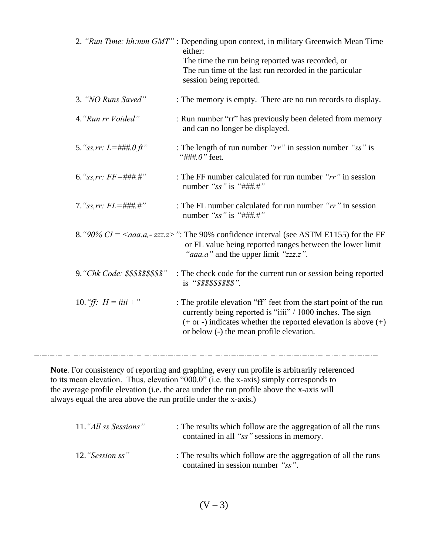|                                                                | 2. "Run Time: hh:mm GMT": Depending upon context, in military Greenwich Mean Time<br>either:<br>The time the run being reported was recorded, or<br>The run time of the last run recorded in the particular<br>session being reported.                                             |
|----------------------------------------------------------------|------------------------------------------------------------------------------------------------------------------------------------------------------------------------------------------------------------------------------------------------------------------------------------|
| 3. "NO Runs Saved"                                             | : The memory is empty. There are no run records to display.                                                                                                                                                                                                                        |
| 4. "Run rr Voided"                                             | : Run number "rr" has previously been deleted from memory<br>and can no longer be displayed.                                                                                                                                                                                       |
| 5. "ss,rr: $L = \# \# H \circ f t$ "                           | : The length of run number " $rr$ " in session number " $ss$ " is<br>"###. $0$ " feet.                                                                                                                                                                                             |
| 6. "ss, rr: $FF = \# \# \#$ "                                  | : The FF number calculated for run number " $rr$ " in session<br>number " $ss$ " is "###.#"                                                                                                                                                                                        |
| 7. "ss, rr: $FL = \# \# \#$ "                                  | : The FL number calculated for run number " $rr$ " in session<br>number " $ss$ " is "###.#"                                                                                                                                                                                        |
|                                                                | 8. "90% $CI = \langle aaa.a, zzz.z \rangle$ ": The 90% confidence interval (see ASTM E1155) for the FF<br>or FL value being reported ranges between the lower limit<br>" <i>aaa.a</i> " and the upper limit "zzz.z".                                                               |
| 9. "Chk Code: \$\$\$\$\$\$\$\$\$"                              | : The check code for the current run or session being reported<br>is "\$\$\$\$\$\$\$\$\$".                                                                                                                                                                                         |
| 10. <i>"ff:</i> $H = iiii +$ "                                 | : The profile elevation "ff" feet from the start point of the run<br>currently being reported is "iiii" / 1000 inches. The sign<br>$(+$ or -) indicates whether the reported elevation is above $(+)$<br>or below (-) the mean profile elevation.                                  |
| always equal the area above the run profile under the x-axis.) | Note. For consistency of reporting and graphing, every run profile is arbitrarily referenced<br>to its mean elevation. Thus, elevation "000.0" (i.e. the x-axis) simply corresponds to<br>the average profile elevation (i.e. the area under the run profile above the x-axis will |

| 11. "All ss Sessions" | : The results which follow are the aggregation of all the runs<br>contained in all "ss" sessions in memory. |
|-----------------------|-------------------------------------------------------------------------------------------------------------|
| 12. "Session ss"      | : The results which follow are the aggregation of all the runs<br>contained in session number "ss".         |

 $(V - 3)$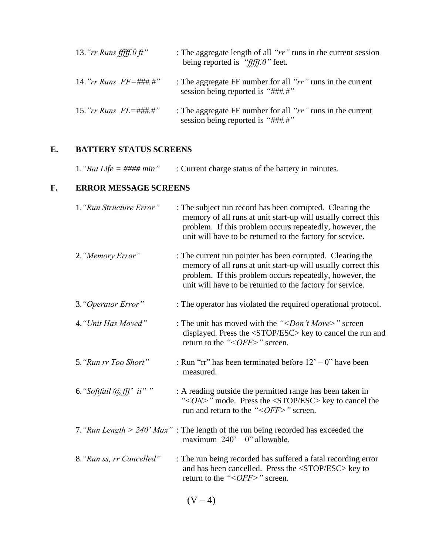| 13. " $rr$ Runs fffff. 0 ft"   | : The aggregate length of all " $rr$ " runs in the current session<br>being reported is " $f_{\text{eff}}f_{\text{f}}f_{\text{f}}$ " feet. |
|--------------------------------|--------------------------------------------------------------------------------------------------------------------------------------------|
| 14."rr Runs $FF = \# \# \#$ ." | : The aggregate FF number for all " $rr$ " runs in the current<br>session being reported is "###.#"                                        |
| 15." <i>rr Runs FL</i> =###.#" | : The aggregate FF number for all " $rr$ " runs in the current<br>session being reported is "###.#"                                        |

#### **E. BATTERY STATUS SCREENS**

| 1. "Bat Life = #### min"<br>: Current charge status of the battery in minutes. |  |
|--------------------------------------------------------------------------------|--|
|--------------------------------------------------------------------------------|--|

#### **F. ERROR MESSAGE SCREENS**

| 1. "Run Structure Error"  | : The subject run record has been corrupted. Clearing the<br>memory of all runs at unit start-up will usually correct this<br>problem. If this problem occurs repeatedly, however, the<br>unit will have to be returned to the factory for service.  |
|---------------------------|------------------------------------------------------------------------------------------------------------------------------------------------------------------------------------------------------------------------------------------------------|
| 2. "Memory Error"         | : The current run pointer has been corrupted. Clearing the<br>memory of all runs at unit start-up will usually correct this<br>problem. If this problem occurs repeatedly, however, the<br>unit will have to be returned to the factory for service. |
| 3. "Operator Error"       | : The operator has violated the required operational protocol.                                                                                                                                                                                       |
| 4. "Unit Has Moved"       | : The unit has moved with the "< <i>Don't Move&gt;</i> " screen<br>displayed. Press the <stop esc=""> key to cancel the run and<br/>return to the "&lt;<i>OFF</i>&gt;" screen.</stop>                                                                |
| 5. "Run rr Too Short"     | : Run "rr" has been terminated before $12 - 0$ " have been<br>measured.                                                                                                                                                                              |
| 6. "Softfail @fff" ii""   | : A reading outside the permitted range has been taken in<br>"< $ON$ >" mode. Press the <stop esc=""> key to cancel the<br/>run and return to the "&lt;<math>OFF</math>&gt;" screen.</stop>                                                          |
|                           | 7. "Run Length > 240' Max" : The length of the run being recorded has exceeded the<br>maximum $240' - 0$ " allowable.                                                                                                                                |
| 8. "Run ss, rr Cancelled" | : The run being recorded has suffered a fatal recording error<br>and has been cancelled. Press the <stop esc=""> key to<br/>return to the "&lt;<i>OFF</i>&gt;" screen.</stop>                                                                        |
|                           | $\Delta I = \Delta \Delta$                                                                                                                                                                                                                           |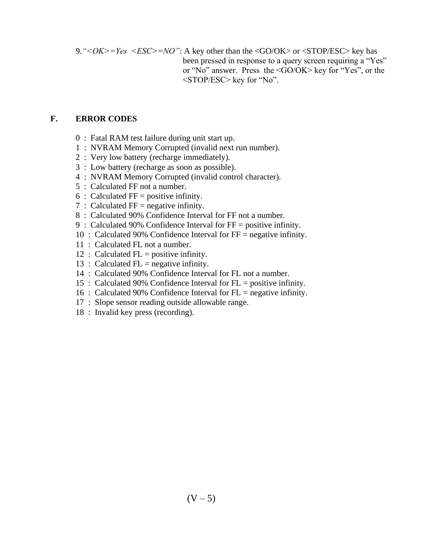9.*"<OK>=Yes <ESC>=NO"*: A key other than the <GO/OK> or <STOP/ESC> key has been pressed in response to a query screen requiring a "Yes" or "No" answer. Press the <GO/OK> key for "Yes", or the <STOP/ESC> key for "No".

#### **F. ERROR CODES**

- 0 : Fatal RAM test failure during unit start up.
- 1 : NVRAM Memory Corrupted (invalid next run number).
- 2 : Very low battery (recharge immediately).
- 3 : Low battery (recharge as soon as possible).
- 4 : NVRAM Memory Corrupted (invalid control character).
- 5 : Calculated FF not a number.
- $6:$  Calculated FF = positive infinity.
- 7 : Calculated  $FF = negative$  infinity.
- 8 : Calculated 90% Confidence Interval for FF not a number.
- 9 : Calculated 90% Confidence Interval for FF = positive infinity.
- 10 : Calculated 90% Confidence Interval for FF = negative infinity.
- 11 : Calculated FL not a number.
- 12 : Calculated  $FL = positive$  infinity.
- 13 : Calculated  $FL$  = negative infinity.
- 14 : Calculated 90% Confidence Interval for FL not a number.
- 15 : Calculated 90% Confidence Interval for FL = positive infinity.
- 16 : Calculated 90% Confidence Interval for FL = negative infinity.
- 17 : Slope sensor reading outside allowable range.
- 18 : Invalid key press (recording).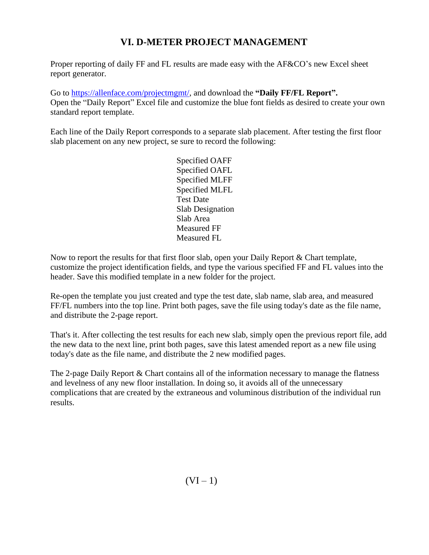# **VI. D-METER PROJECT MANAGEMENT**

Proper reporting of daily FF and FL results are made easy with the AF&CO's new Excel sheet report generator.

Go to [https://allenface.com/projectmgmt/,](https://allenface.com/projectmgmt/) and download the **"Daily FF/FL Report".** Open the "Daily Report" Excel file and customize the blue font fields as desired to create your own standard report template.

Each line of the Daily Report corresponds to a separate slab placement. After testing the first floor slab placement on any new project, se sure to record the following:

> Specified OAFF Specified OAFL Specified MLFF Specified MLFL Test Date Slab Designation Slab Area Measured FF Measured FL

Now to report the results for that first floor slab, open your Daily Report  $\&$  Chart template, customize the project identification fields, and type the various specified FF and FL values into the header. Save this modified template in a new folder for the project.

Re-open the template you just created and type the test date, slab name, slab area, and measured FF/FL numbers into the top line. Print both pages, save the file using today's date as the file name, and distribute the 2-page report.

That's it. After collecting the test results for each new slab, simply open the previous report file, add the new data to the next line, print both pages, save this latest amended report as a new file using today's date as the file name, and distribute the 2 new modified pages.

The 2-page Daily Report & Chart contains all of the information necessary to manage the flatness and levelness of any new floor installation. In doing so, it avoids all of the unnecessary complications that are created by the extraneous and voluminous distribution of the individual run results.